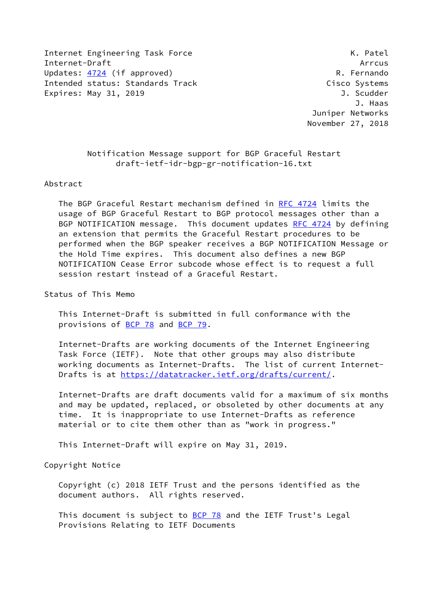Internet Engineering Task Force K. Patel Internet-Draft Arrcus Updates: [4724](https://datatracker.ietf.org/doc/pdf/rfc4724) (if approved) example the control of the R. Fernando Intended status: Standards Track Cisco Systems Expires: May 31, 2019 **J. Scudder** 

 J. Haas Juniper Networks November 27, 2018

> Notification Message support for BGP Graceful Restart draft-ietf-idr-bgp-gr-notification-16.txt

## Abstract

 The BGP Graceful Restart mechanism defined in [RFC 4724](https://datatracker.ietf.org/doc/pdf/rfc4724) limits the usage of BGP Graceful Restart to BGP protocol messages other than a BGP NOTIFICATION message. This document updates [RFC 4724](https://datatracker.ietf.org/doc/pdf/rfc4724) by defining an extension that permits the Graceful Restart procedures to be performed when the BGP speaker receives a BGP NOTIFICATION Message or the Hold Time expires. This document also defines a new BGP NOTIFICATION Cease Error subcode whose effect is to request a full session restart instead of a Graceful Restart.

Status of This Memo

 This Internet-Draft is submitted in full conformance with the provisions of [BCP 78](https://datatracker.ietf.org/doc/pdf/bcp78) and [BCP 79](https://datatracker.ietf.org/doc/pdf/bcp79).

 Internet-Drafts are working documents of the Internet Engineering Task Force (IETF). Note that other groups may also distribute working documents as Internet-Drafts. The list of current Internet- Drafts is at<https://datatracker.ietf.org/drafts/current/>.

 Internet-Drafts are draft documents valid for a maximum of six months and may be updated, replaced, or obsoleted by other documents at any time. It is inappropriate to use Internet-Drafts as reference material or to cite them other than as "work in progress."

This Internet-Draft will expire on May 31, 2019.

Copyright Notice

 Copyright (c) 2018 IETF Trust and the persons identified as the document authors. All rights reserved.

This document is subject to **[BCP 78](https://datatracker.ietf.org/doc/pdf/bcp78)** and the IETF Trust's Legal Provisions Relating to IETF Documents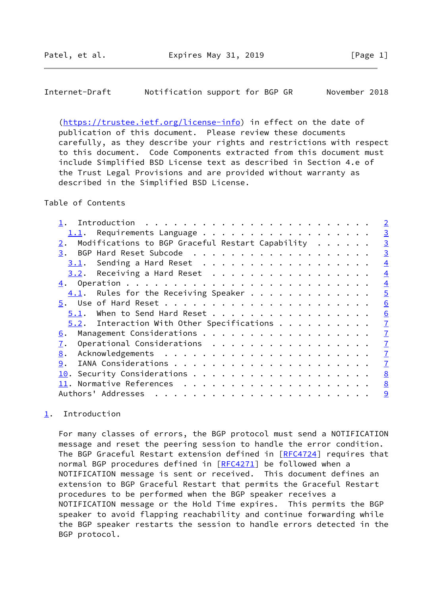## <span id="page-1-1"></span>Internet-Draft Notification support for BGP GR November 2018

 [\(https://trustee.ietf.org/license-info](https://trustee.ietf.org/license-info)) in effect on the date of publication of this document. Please review these documents carefully, as they describe your rights and restrictions with respect to this document. Code Components extracted from this document must include Simplified BSD License text as described in Section 4.e of the Trust Legal Provisions and are provided without warranty as described in the Simplified BSD License.

## Table of Contents

|                                                  | $\overline{2}$ |
|--------------------------------------------------|----------------|
|                                                  | $\overline{3}$ |
| Modifications to BGP Graceful Restart Capability | $\overline{3}$ |
| 3.                                               | $\overline{3}$ |
| Sending a Hard Reset<br>3.1.                     | $\overline{4}$ |
| $3.2$ . Receiving a Hard Reset                   | $\overline{4}$ |
|                                                  | $\overline{4}$ |
| $4.1$ . Rules for the Receiving Speaker          | $\overline{5}$ |
|                                                  | 6              |
| 5.1. When to Send Hard Reset                     | 6              |
| $5.2$ . Interaction With Other Specifications    | $\overline{1}$ |
| 6.                                               | $\overline{1}$ |
| Operational Considerations<br>7.                 | $\overline{1}$ |
| 8.                                               | $\overline{1}$ |
| 9.                                               | $\overline{1}$ |
|                                                  | 8              |
|                                                  | 8              |
| Authors' Addresses                               | 9              |
|                                                  |                |

## <span id="page-1-0"></span>[1](#page-1-0). Introduction

 For many classes of errors, the BGP protocol must send a NOTIFICATION message and reset the peering session to handle the error condition. The BGP Graceful Restart extension defined in [[RFC4724](https://datatracker.ietf.org/doc/pdf/rfc4724)] requires that normal BGP procedures defined in [\[RFC4271](https://datatracker.ietf.org/doc/pdf/rfc4271)] be followed when a NOTIFICATION message is sent or received. This document defines an extension to BGP Graceful Restart that permits the Graceful Restart procedures to be performed when the BGP speaker receives a NOTIFICATION message or the Hold Time expires. This permits the BGP speaker to avoid flapping reachability and continue forwarding while the BGP speaker restarts the session to handle errors detected in the BGP protocol.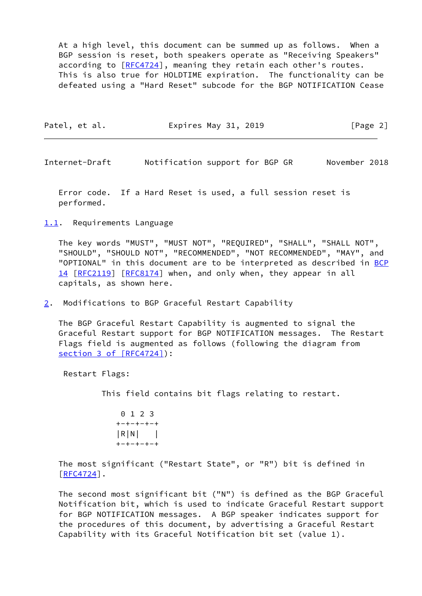At a high level, this document can be summed up as follows. When a BGP session is reset, both speakers operate as "Receiving Speakers" according to [\[RFC4724](https://datatracker.ietf.org/doc/pdf/rfc4724)], meaning they retain each other's routes. This is also true for HOLDTIME expiration. The functionality can be defeated using a "Hard Reset" subcode for the BGP NOTIFICATION Cease

| [Page 2]<br>Expires May 31, 2019<br>Patel, et al. |
|---------------------------------------------------|
|---------------------------------------------------|

<span id="page-2-1"></span>Internet-Draft Notification support for BGP GR November 2018

 Error code. If a Hard Reset is used, a full session reset is performed.

<span id="page-2-0"></span>[1.1](#page-2-0). Requirements Language

 The key words "MUST", "MUST NOT", "REQUIRED", "SHALL", "SHALL NOT", "SHOULD", "SHOULD NOT", "RECOMMENDED", "NOT RECOMMENDED", "MAY", and "OPTIONAL" in this document are to be interpreted as described in [BCP](https://datatracker.ietf.org/doc/pdf/bcp14) [14](https://datatracker.ietf.org/doc/pdf/bcp14) [[RFC2119\]](https://datatracker.ietf.org/doc/pdf/rfc2119) [\[RFC8174](https://datatracker.ietf.org/doc/pdf/rfc8174)] when, and only when, they appear in all capitals, as shown here.

<span id="page-2-2"></span>[2](#page-2-2). Modifications to BGP Graceful Restart Capability

 The BGP Graceful Restart Capability is augmented to signal the Graceful Restart support for BGP NOTIFICATION messages. The Restart Flags field is augmented as follows (following the diagram from section [3 of \[RFC4724\]](https://datatracker.ietf.org/doc/pdf/rfc4724#section-3)):

Restart Flags:

This field contains bit flags relating to restart.

 0 1 2 3 +-+-+-+-+ |R|N| | +-+-+-+-+

 The most significant ("Restart State", or "R") bit is defined in  $[REC4724]$ .

 The second most significant bit ("N") is defined as the BGP Graceful Notification bit, which is used to indicate Graceful Restart support for BGP NOTIFICATION messages. A BGP speaker indicates support for the procedures of this document, by advertising a Graceful Restart Capability with its Graceful Notification bit set (value 1).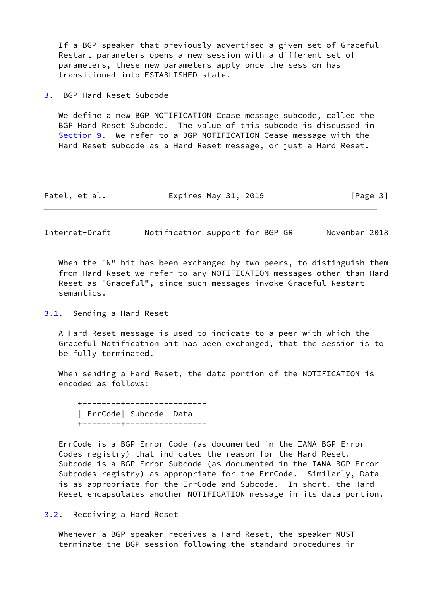If a BGP speaker that previously advertised a given set of Graceful Restart parameters opens a new session with a different set of parameters, these new parameters apply once the session has transitioned into ESTABLISHED state.

<span id="page-3-0"></span>[3](#page-3-0). BGP Hard Reset Subcode

 We define a new BGP NOTIFICATION Cease message subcode, called the BGP Hard Reset Subcode. The value of this subcode is discussed in [Section 9](#page-7-3). We refer to a BGP NOTIFICATION Cease message with the Hard Reset subcode as a Hard Reset message, or just a Hard Reset.

| Patel, et al. | Expires May 31, 2019 | [Page 3] |
|---------------|----------------------|----------|
|---------------|----------------------|----------|

<span id="page-3-2"></span>Internet-Draft Notification support for BGP GR November 2018

When the "N" bit has been exchanged by two peers, to distinguish them from Hard Reset we refer to any NOTIFICATION messages other than Hard Reset as "Graceful", since such messages invoke Graceful Restart semantics.

<span id="page-3-1"></span>[3.1](#page-3-1). Sending a Hard Reset

 A Hard Reset message is used to indicate to a peer with which the Graceful Notification bit has been exchanged, that the session is to be fully terminated.

 When sending a Hard Reset, the data portion of the NOTIFICATION is encoded as follows:

 +--------+--------+-------- | ErrCode| Subcode| Data +--------+--------+--------

 ErrCode is a BGP Error Code (as documented in the IANA BGP Error Codes registry) that indicates the reason for the Hard Reset. Subcode is a BGP Error Subcode (as documented in the IANA BGP Error Subcodes registry) as appropriate for the ErrCode. Similarly, Data is as appropriate for the ErrCode and Subcode. In short, the Hard Reset encapsulates another NOTIFICATION message in its data portion.

<span id="page-3-3"></span>[3.2](#page-3-3). Receiving a Hard Reset

 Whenever a BGP speaker receives a Hard Reset, the speaker MUST terminate the BGP session following the standard procedures in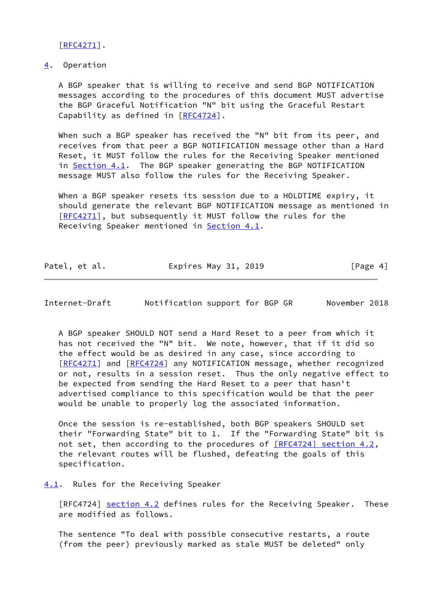[\[RFC4271](https://datatracker.ietf.org/doc/pdf/rfc4271)].

<span id="page-4-0"></span>[4](#page-4-0). Operation

 A BGP speaker that is willing to receive and send BGP NOTIFICATION messages according to the procedures of this document MUST advertise the BGP Graceful Notification "N" bit using the Graceful Restart Capability as defined in [\[RFC4724](https://datatracker.ietf.org/doc/pdf/rfc4724)].

 When such a BGP speaker has received the "N" bit from its peer, and receives from that peer a BGP NOTIFICATION message other than a Hard Reset, it MUST follow the rules for the Receiving Speaker mentioned in [Section 4.1](#page-4-1). The BGP speaker generating the BGP NOTIFICATION message MUST also follow the rules for the Receiving Speaker.

 When a BGP speaker resets its session due to a HOLDTIME expiry, it should generate the relevant BGP NOTIFICATION message as mentioned in [\[RFC4271](https://datatracker.ietf.org/doc/pdf/rfc4271)], but subsequently it MUST follow the rules for the Receiving Speaker mentioned in [Section 4.1](#page-4-1).

| Patel, et al. | Expires May 31, 2019 | [Page 4] |
|---------------|----------------------|----------|
|               |                      |          |

<span id="page-4-2"></span>Internet-Draft Notification support for BGP GR November 2018

 A BGP speaker SHOULD NOT send a Hard Reset to a peer from which it has not received the "N" bit. We note, however, that if it did so the effect would be as desired in any case, since according to [\[RFC4271](https://datatracker.ietf.org/doc/pdf/rfc4271)] and [[RFC4724](https://datatracker.ietf.org/doc/pdf/rfc4724)] any NOTIFICATION message, whether recognized or not, results in a session reset. Thus the only negative effect to be expected from sending the Hard Reset to a peer that hasn't advertised compliance to this specification would be that the peer would be unable to properly log the associated information.

 Once the session is re-established, both BGP speakers SHOULD set their "Forwarding State" bit to 1. If the "Forwarding State" bit is not set, then according to the procedures of [\[RFC4724\] section](https://datatracker.ietf.org/doc/pdf/rfc4724#section-4.2) 4.2, the relevant routes will be flushed, defeating the goals of this specification.

<span id="page-4-1"></span>[4.1](#page-4-1). Rules for the Receiving Speaker

[RFC4724] section 4.2 defines rules for the Receiving Speaker. These are modified as follows.

 The sentence "To deal with possible consecutive restarts, a route (from the peer) previously marked as stale MUST be deleted" only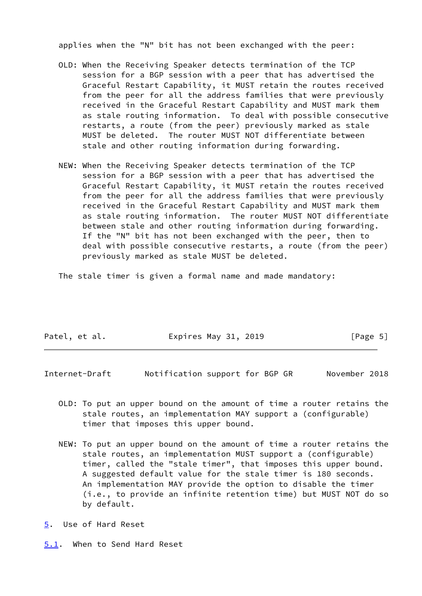applies when the "N" bit has not been exchanged with the peer:

- OLD: When the Receiving Speaker detects termination of the TCP session for a BGP session with a peer that has advertised the Graceful Restart Capability, it MUST retain the routes received from the peer for all the address families that were previously received in the Graceful Restart Capability and MUST mark them as stale routing information. To deal with possible consecutive restarts, a route (from the peer) previously marked as stale MUST be deleted. The router MUST NOT differentiate between stale and other routing information during forwarding.
- NEW: When the Receiving Speaker detects termination of the TCP session for a BGP session with a peer that has advertised the Graceful Restart Capability, it MUST retain the routes received from the peer for all the address families that were previously received in the Graceful Restart Capability and MUST mark them as stale routing information. The router MUST NOT differentiate between stale and other routing information during forwarding. If the "N" bit has not been exchanged with the peer, then to deal with possible consecutive restarts, a route (from the peer) previously marked as stale MUST be deleted.

The stale timer is given a formal name and made mandatory:

| Patel, et al. | Expires May 31, 2019 | [Page 5] |
|---------------|----------------------|----------|
|               |                      |          |

<span id="page-5-1"></span>Internet-Draft Notification support for BGP GR November 2018

- OLD: To put an upper bound on the amount of time a router retains the stale routes, an implementation MAY support a (configurable) timer that imposes this upper bound.
- NEW: To put an upper bound on the amount of time a router retains the stale routes, an implementation MUST support a (configurable) timer, called the "stale timer", that imposes this upper bound. A suggested default value for the stale timer is 180 seconds. An implementation MAY provide the option to disable the timer (i.e., to provide an infinite retention time) but MUST NOT do so by default.
- <span id="page-5-0"></span>[5](#page-5-0). Use of Hard Reset

<span id="page-5-2"></span>[5.1](#page-5-2). When to Send Hard Reset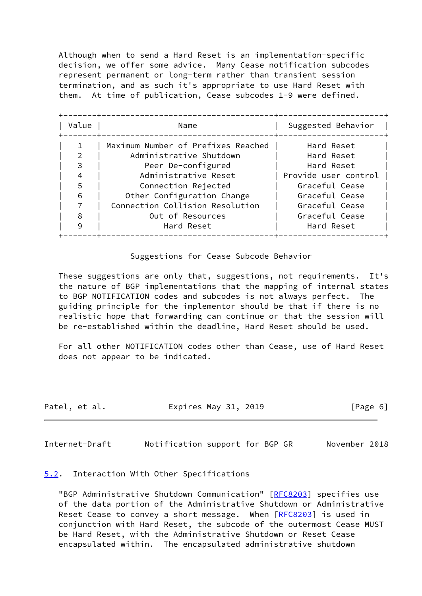Although when to send a Hard Reset is an implementation-specific decision, we offer some advice. Many Cease notification subcodes represent permanent or long-term rather than transient session termination, and as such it's appropriate to use Hard Reset with them. At time of publication, Cease subcodes 1-9 were defined.

| Value | Name<br>______________________     | Suggested Behavior   |
|-------|------------------------------------|----------------------|
|       | Maximum Number of Prefixes Reached | Hard Reset           |
|       | Administrative Shutdown            | Hard Reset           |
|       | Peer De-configured                 | Hard Reset           |
|       | Administrative Reset               | Provide user control |
| 5     | Connection Rejected                | Graceful Cease       |
| 6     | Other Configuration Change         | Graceful Cease       |
|       | Connection Collision Resolution    | Graceful Cease       |
| 8     | Out of Resources                   | Graceful Cease       |
| 9     | Hard Reset                         | Hard Reset           |

Suggestions for Cease Subcode Behavior

 These suggestions are only that, suggestions, not requirements. It's the nature of BGP implementations that the mapping of internal states to BGP NOTIFICATION codes and subcodes is not always perfect. The guiding principle for the implementor should be that if there is no realistic hope that forwarding can continue or that the session will be re-established within the deadline, Hard Reset should be used.

 For all other NOTIFICATION codes other than Cease, use of Hard Reset does not appear to be indicated.

| Expires May 31, 2019<br>Patel, et al. | [Page 6] |
|---------------------------------------|----------|
|---------------------------------------|----------|

<span id="page-6-1"></span>Internet-Draft Notification support for BGP GR November 2018

<span id="page-6-0"></span>[5.2](#page-6-0). Interaction With Other Specifications

 "BGP Administrative Shutdown Communication" [\[RFC8203](https://datatracker.ietf.org/doc/pdf/rfc8203)] specifies use of the data portion of the Administrative Shutdown or Administrative Reset Cease to convey a short message. When [\[RFC8203](https://datatracker.ietf.org/doc/pdf/rfc8203)] is used in conjunction with Hard Reset, the subcode of the outermost Cease MUST be Hard Reset, with the Administrative Shutdown or Reset Cease encapsulated within. The encapsulated administrative shutdown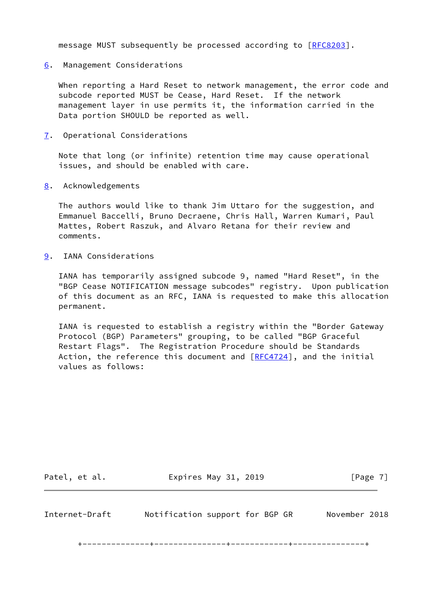message MUST subsequently be processed according to [\[RFC8203](https://datatracker.ietf.org/doc/pdf/rfc8203)].

<span id="page-7-0"></span>[6](#page-7-0). Management Considerations

 When reporting a Hard Reset to network management, the error code and subcode reported MUST be Cease, Hard Reset. If the network management layer in use permits it, the information carried in the Data portion SHOULD be reported as well.

<span id="page-7-1"></span>[7](#page-7-1). Operational Considerations

 Note that long (or infinite) retention time may cause operational issues, and should be enabled with care.

<span id="page-7-2"></span>[8](#page-7-2). Acknowledgements

 The authors would like to thank Jim Uttaro for the suggestion, and Emmanuel Baccelli, Bruno Decraene, Chris Hall, Warren Kumari, Paul Mattes, Robert Raszuk, and Alvaro Retana for their review and comments.

<span id="page-7-3"></span>[9](#page-7-3). IANA Considerations

 IANA has temporarily assigned subcode 9, named "Hard Reset", in the "BGP Cease NOTIFICATION message subcodes" registry. Upon publication of this document as an RFC, IANA is requested to make this allocation permanent.

 IANA is requested to establish a registry within the "Border Gateway Protocol (BGP) Parameters" grouping, to be called "BGP Graceful Restart Flags". The Registration Procedure should be Standards Action, the reference this document and [\[RFC4724](https://datatracker.ietf.org/doc/pdf/rfc4724)], and the initial values as follows:

<span id="page-7-4"></span>

| Patel, et al.  | Expires May 31, 2019            | [Page 7]      |
|----------------|---------------------------------|---------------|
| Internet-Draft | Notification support for BGP GR | November 2018 |

+--------------+---------------+------------+---------------+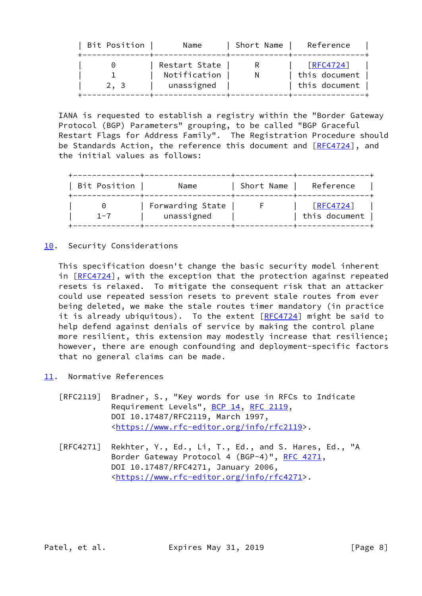| Restart State<br>$\lceil$ RFC4724]<br>Notification<br>this document<br>this document<br>unassigned<br>2. 3 | Bit Position | Name | Short Name | Reference |
|------------------------------------------------------------------------------------------------------------|--------------|------|------------|-----------|
|                                                                                                            |              |      |            |           |

 IANA is requested to establish a registry within the "Border Gateway Protocol (BGP) Parameters" grouping, to be called "BGP Graceful Restart Flags for Address Family". The Registration Procedure should be Standards Action, the reference this document and  $[REC4724]$ , and the initial values as follows:

| Bit Position | Name                           | Short Name | Reference                  |
|--------------|--------------------------------|------------|----------------------------|
| $1 - 7$      | Forwarding State<br>unassigned |            | [REC4724]<br>this document |

<span id="page-8-0"></span>[10.](#page-8-0) Security Considerations

 This specification doesn't change the basic security model inherent in [[RFC4724\]](https://datatracker.ietf.org/doc/pdf/rfc4724), with the exception that the protection against repeated resets is relaxed. To mitigate the consequent risk that an attacker could use repeated session resets to prevent stale routes from ever being deleted, we make the stale routes timer mandatory (in practice it is already ubiquitous). To the extent  $[RECA724]$  might be said to help defend against denials of service by making the control plane more resilient, this extension may modestly increase that resilience; however, there are enough confounding and deployment-specific factors that no general claims can be made.

- <span id="page-8-1"></span>[11.](#page-8-1) Normative References
	- [RFC2119] Bradner, S., "Key words for use in RFCs to Indicate Requirement Levels", [BCP 14](https://datatracker.ietf.org/doc/pdf/bcp14), [RFC 2119](https://datatracker.ietf.org/doc/pdf/rfc2119), DOI 10.17487/RFC2119, March 1997, <[https://www.rfc-editor.org/info/rfc2119>](https://www.rfc-editor.org/info/rfc2119).
	- [RFC4271] Rekhter, Y., Ed., Li, T., Ed., and S. Hares, Ed., "A Border Gateway Protocol 4 (BGP-4)", [RFC 4271,](https://datatracker.ietf.org/doc/pdf/rfc4271) DOI 10.17487/RFC4271, January 2006, <[https://www.rfc-editor.org/info/rfc4271>](https://www.rfc-editor.org/info/rfc4271).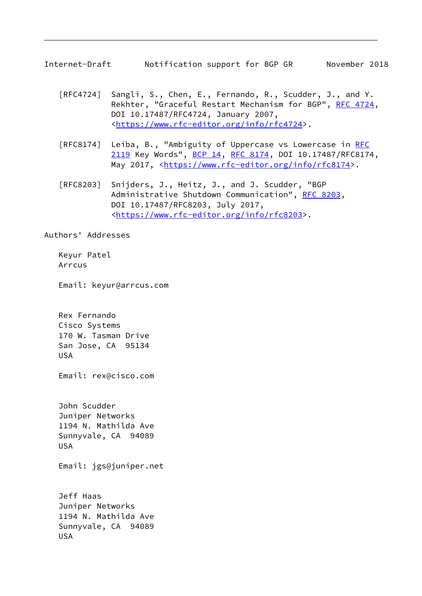<span id="page-9-0"></span>Internet-Draft Notification support for BGP GR November 2018

- [RFC4724] Sangli, S., Chen, E., Fernando, R., Scudder, J., and Y. Rekhter, "Graceful Restart Mechanism for BGP", [RFC 4724](https://datatracker.ietf.org/doc/pdf/rfc4724), DOI 10.17487/RFC4724, January 2007, <[https://www.rfc-editor.org/info/rfc4724>](https://www.rfc-editor.org/info/rfc4724).
- [RFC8174] Leiba, B., "Ambiguity of Uppercase vs Lowercase in [RFC](https://datatracker.ietf.org/doc/pdf/rfc2119) [2119](https://datatracker.ietf.org/doc/pdf/rfc2119) Key Words", [BCP 14](https://datatracker.ietf.org/doc/pdf/bcp14), [RFC 8174,](https://datatracker.ietf.org/doc/pdf/rfc8174) DOI 10.17487/RFC8174, May 2017, [<https://www.rfc-editor.org/info/rfc8174](https://www.rfc-editor.org/info/rfc8174)>.
- [RFC8203] Snijders, J., Heitz, J., and J. Scudder, "BGP Administrative Shutdown Communication", [RFC 8203,](https://datatracker.ietf.org/doc/pdf/rfc8203) DOI 10.17487/RFC8203, July 2017, <[https://www.rfc-editor.org/info/rfc8203>](https://www.rfc-editor.org/info/rfc8203).

Authors' Addresses

 Keyur Patel Arrcus

Email: keyur@arrcus.com

 Rex Fernando Cisco Systems 170 W. Tasman Drive San Jose, CA 95134 USA

Email: rex@cisco.com

 John Scudder Juniper Networks 1194 N. Mathilda Ave Sunnyvale, CA 94089 USA

Email: jgs@juniper.net

 Jeff Haas Juniper Networks 1194 N. Mathilda Ave Sunnyvale, CA 94089 USA